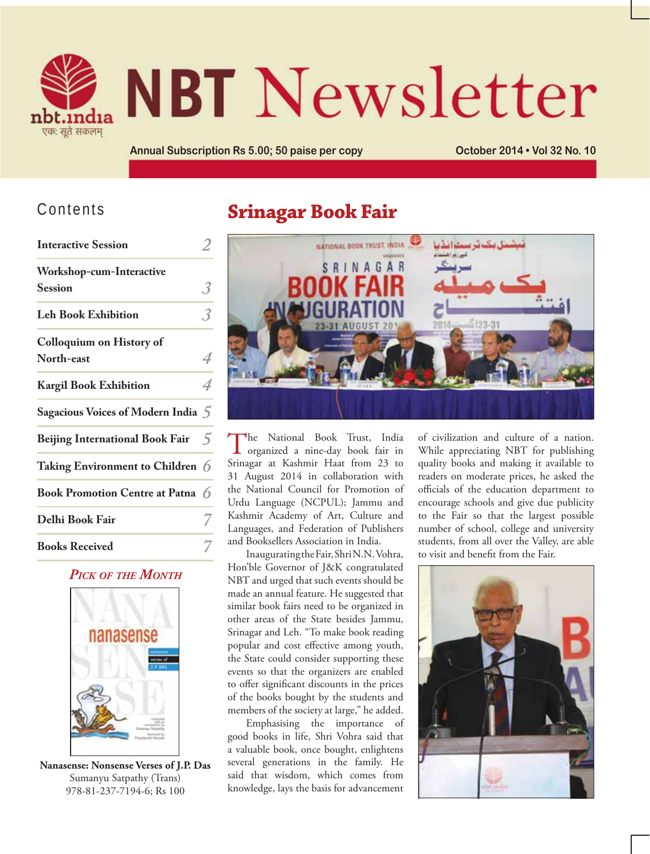

# **NBT** Newsletter

Annual Subscription Rs 5.00; 50 paise per copy **Connect Connect 2014 . Vol 32 No. 10** 

#### Contents

| <b>Interactive Session</b>             |   |
|----------------------------------------|---|
| <b>Workshop-cum-Interactive</b>        |   |
| <b>Session</b>                         | 3 |
| <b>Leh Book Exhibition</b>             | 3 |
| <b>Colloquium on History of</b>        |   |
| North-east                             | 4 |
| <b>Kargil Book Exhibition</b>          | 4 |
| Sagacious Voices of Modern India 5     |   |
| <b>Beijing International Book Fair</b> | 5 |
| Taking Environment to Children 6       |   |
| Book Promotion Centre at Patna 6       |   |
| Delhi Book Fair                        |   |
| <b>Books Received</b>                  |   |

*PICK OF THE MONTH*



**Nanasense: Nonsense Verses of J.P. Das** Sumanyu Satpathy (Trans) 978-81-237-7194-6; Rs 100

# **Srinagar Book Fair**



The National Book Trust, India organized a nine-day book fair in Srinagar at Kashmir Haat from 23 to 31 August 2014 in collaboration with the National Council for Promotion of Urdu Language (NCPUL); Jammu and Kashmir Academy of Art, Culture and Languages, and Federation of Publishers and Booksellers Association in India.

Inaugurating the Fair, Shri N.N. Vohra, Hon'ble Governor of J&K congratulated NBT and urged that such events should be made an annual feature. He suggested that similar book fairs need to be organized in other areas of the State besides Jammu, Srinagar and Leh. "To make book reading popular and cost effective among youth, the State could consider supporting these events so that the organizers are enabled to offer significant discounts in the prices of the books bought by the students and members of the society at large," he added.

Emphasising the importance of good books in life, Shri Vohra said that a valuable book, once bought, enlightens several generations in the family. He said that wisdom, which comes from knowledge, lays the basis for advancement of civilization and culture of a nation. While appreciating NBT for publishing quality books and making it available to readers on moderate prices, he asked the officials of the education department to encourage schools and give due publicity to the Fair so that the largest possible number of school, college and university students, from all over the Valley, are able to visit and benefit from the Fair.

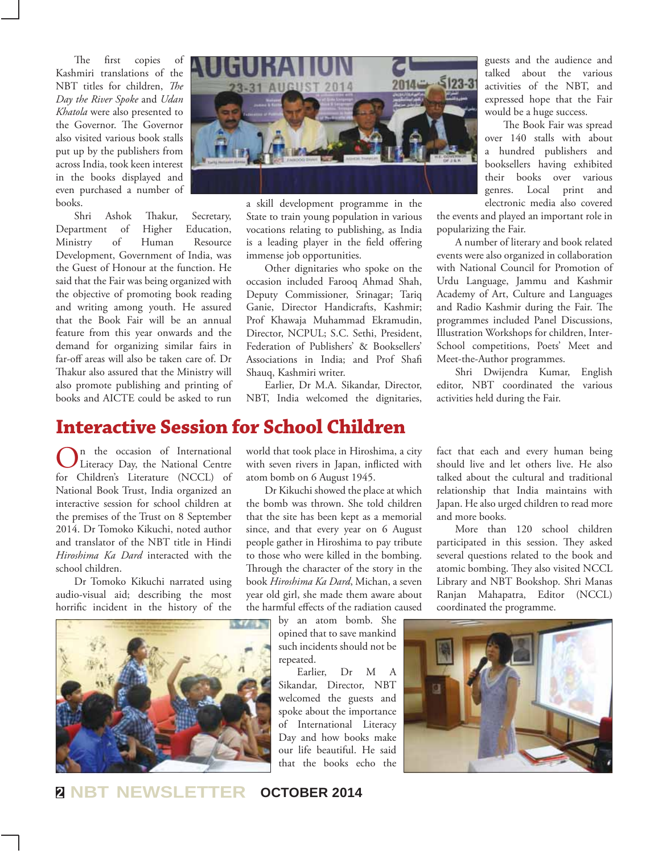The first copies of Kashmiri translations of the NBT titles for children, *The Day the River Spoke* and *Udan Khatola* were also presented to the Governor. The Governor also visited various book stalls put up by the publishers from across India, took keen interest in the books displayed and even purchased a number of books.

Shri Ashok Thakur, Secretary, Department of Higher Education, Ministry of Human Resource Development, Government of India, was the Guest of Honour at the function. He said that the Fair was being organized with the objective of promoting book reading and writing among youth. He assured that the Book Fair will be an annual feature from this year onwards and the demand for organizing similar fairs in far-off areas will also be taken care of. Dr Thakur also assured that the Ministry will also promote publishing and printing of books and AICTE could be asked to run



a skill development programme in the State to train young population in various vocations relating to publishing, as India is a leading player in the field offering immense job opportunities.

Other dignitaries who spoke on the occasion included Farooq Ahmad Shah, Deputy Commissioner, Srinagar; Tariq Ganie, Director Handicrafts, Kashmir; Prof Khawaja Muhammad Ekramudin, Director, NCPUL; S.C. Sethi, President, Federation of Publishers' & Booksellers' Associations in India; and Prof Shafi Shauq, Kashmiri writer.

Earlier, Dr M.A. Sikandar, Director, NBT, India welcomed the dignitaries,

**Interactive Session for School Children**

On the occasion of International<br>Literacy Day, the National Centre for Children's Literature (NCCL) of National Book Trust, India organized an interactive session for school children at the premises of the Trust on 8 September 2014. Dr Tomoko Kikuchi, noted author and translator of the NBT title in Hindi *Hiroshima Ka Dard* interacted with the school children.

Dr Tomoko Kikuchi narrated using audio-visual aid; describing the most horrific incident in the history of the



world that took place in Hiroshima, a city with seven rivers in Japan, inflicted with atom bomb on 6 August 1945.

Dr Kikuchi showed the place at which the bomb was thrown. She told children that the site has been kept as a memorial since, and that every year on 6 August people gather in Hiroshima to pay tribute to those who were killed in the bombing. Through the character of the story in the book *Hiroshima Ka Dard*, Michan, a seven year old girl, she made them aware about the harmful effects of the radiation caused

> by an atom bomb. She opined that to save mankind such incidents should not be repeated.

Earlier, Dr M A Sikandar, Director, NBT welcomed the guests and spoke about the importance of International Literacy Day and how books make our life beautiful. He said that the books echo the

guests and the audience and talked about the various activities of the NBT, and expressed hope that the Fair would be a huge success.

The Book Fair was spread over 140 stalls with about a hundred publishers and booksellers having exhibited their books over various genres. Local print and electronic media also covered

the events and played an important role in popularizing the Fair.

A number of literary and book related events were also organized in collaboration with National Council for Promotion of Urdu Language, Jammu and Kashmir Academy of Art, Culture and Languages and Radio Kashmir during the Fair. The programmes included Panel Discussions, Illustration Workshops for children, Inter-School competitions, Poets' Meet and Meet-the-Author programmes.

Shri Dwijendra Kumar, English editor, NBT coordinated the various activities held during the Fair.

fact that each and every human being should live and let others live. He also talked about the cultural and traditional relationship that India maintains with Japan. He also urged children to read more and more books.

More than 120 school children participated in this session. They asked several questions related to the book and atomic bombing. They also visited NCCL Library and NBT Bookshop. Shri Manas Ranjan Mahapatra, Editor (NCCL) coordinated the programme.



**<sup>2</sup> NBT NEWSLETTER OCTOBER 2014**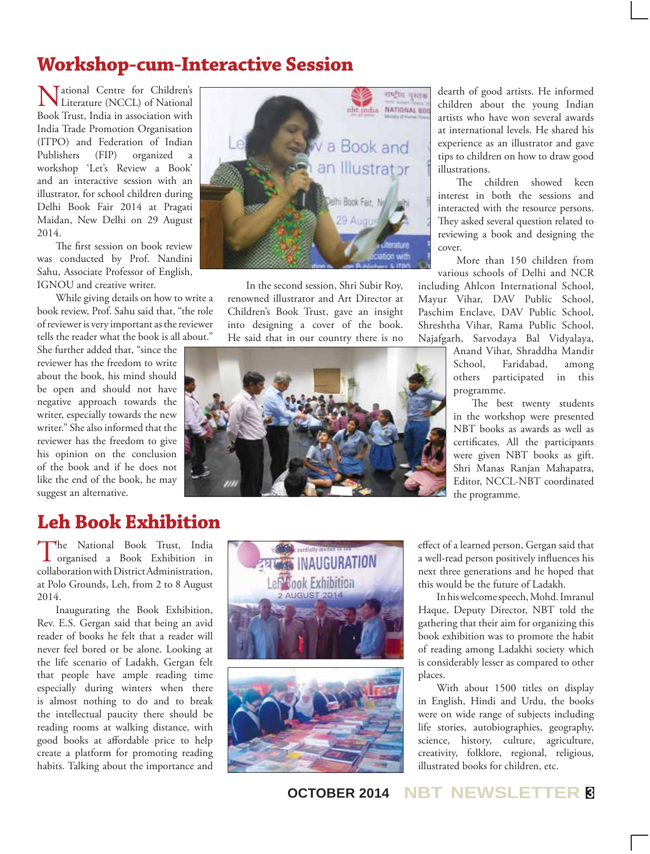# **Workshop-cum-Interactive Session**

National Centre for Children's Literature (NCCL) of National Book Trust, India in association with India Trade Promotion Organisation (ITPO) and Federation of Indian Publishers (FIP) organized a workshop 'Let's Review a Book' and an interactive session with an illustrator, for school children during Delhi Book Fair 2014 at Pragati Maidan, New Delhi on 29 August 2014.

The first session on book review was conducted by Prof. Nandini Sahu, Associate Professor of English, IGNOU and creative writer.

While giving details on how to write a book review, Prof. Sahu said that, "the role of reviewer is very important as the reviewer tells the reader what the book is all about."

She further added that, "since the reviewer has the freedom to write about the book, his mind should be open and should not have negative approach towards the writer, especially towards the new writer." She also informed that the reviewer has the freedom to give his opinion on the conclusion of the book and if he does not like the end of the book, he may suggest an alternative.



In the second session, Shri Subir Roy, renowned illustrator and Art Director at Children's Book Trust, gave an insight into designing a cover of the book. He said that in our country there is no



dearth of good artists. He informed children about the young Indian artists who have won several awards at international levels. He shared his experience as an illustrator and gave tips to children on how to draw good illustrations.

The children showed keen interest in both the sessions and interacted with the resource persons. They asked several question related to reviewing a book and designing the cover.

More than 150 children from various schools of Delhi and NCR

including Ahlcon International School, Mayur Vihar, DAV Public School, Paschim Enclave, DAV Public School, Shreshtha Vihar, Rama Public School, Najafgarh, Sarvodaya Bal Vidyalaya,

> Anand Vihar, Shraddha Mandir School, Faridabad, among others participated in this programme.

The best twenty students in the workshop were presented NBT books as awards as well as certificates. All the participants were given NBT books as gift. Shri Manas Ranjan Mahapatra, Editor, NCCL-NBT coordinated the programme.

# **Leh Book Exhibition**

The National Book Trust, India organised a Book Exhibition in collaboration with District Administration, at Polo Grounds, Leh, from 2 to 8 August 2014.

Inaugurating the Book Exhibition, Rev. E.S. Gergan said that being an avid reader of books he felt that a reader will never feel bored or be alone. Looking at the life scenario of Ladakh, Gergan felt that people have ample reading time especially during winters when there is almost nothing to do and to break the intellectual paucity there should be reading rooms at walking distance, with good books at affordable price to help create a platform for promoting reading habits. Talking about the importance and





effect of a learned person, Gergan said that a well-read person positively influences his next three generations and he hoped that this would be the future of Ladakh.

In his welcome speech, Mohd. Imranul Haque, Deputy Director, NBT told the gathering that their aim for organizing this book exhibition was to promote the habit of reading among Ladakhi society which is considerably lesser as compared to other places.

With about 1500 titles on display in English, Hindi and Urdu, the books were on wide range of subjects including life stories, autobiographies, geography, science, history, culture, agriculture, creativity, folklore, regional, religious, illustrated books for children, etc.

**OCTOBER 2014 NBT NEWSLETTER <sup>3</sup>**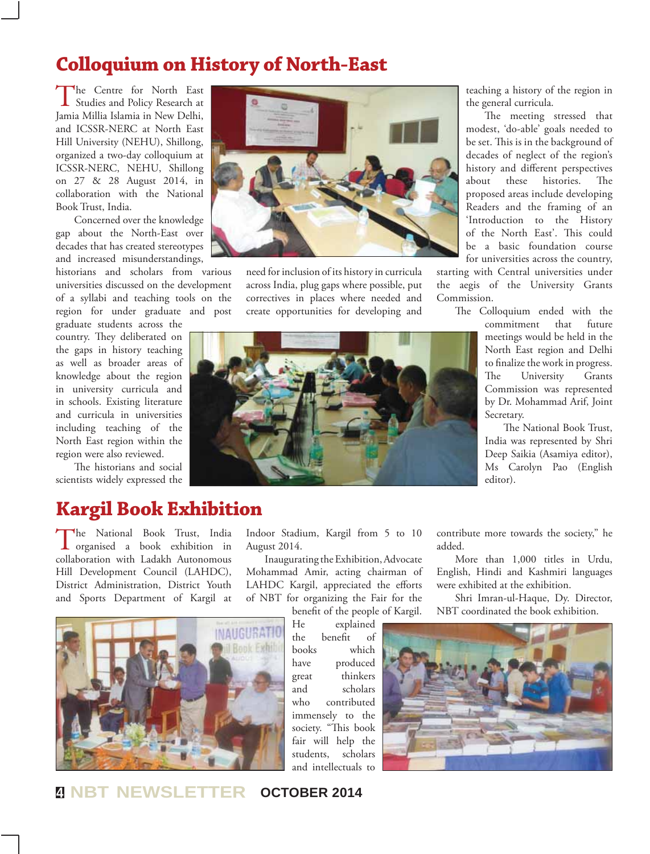### **Colloquium on History of North-East**

The Centre for North East<br>
Studies and Policy Research at Jamia Millia Islamia in New Delhi, and ICSSR-NERC at North East Hill University (NEHU), Shillong, organized a two-day colloquium at ICSSR-NERC, NEHU, Shillong on 27 & 28 August 2014, in collaboration with the National Book Trust, India.

Concerned over the knowledge gap about the North-East over decades that has created stereotypes and increased misunderstandings,

historians and scholars from various universities discussed on the development of a syllabi and teaching tools on the region for under graduate and post

graduate students across the country. They deliberated on the gaps in history teaching as well as broader areas of knowledge about the region in university curricula and in schools. Existing literature and curricula in universities including teaching of the North East region within the region were also reviewed.

The historians and social scientists widely expressed the

# **Kargil Book Exhibition**

The National Book Trust, India organised a book exhibition in collaboration with Ladakh Autonomous Hill Development Council (LAHDC), District Administration, District Youth and Sports Department of Kargil at





need for inclusion of its history in curricula across India, plug gaps where possible, put correctives in places where needed and create opportunities for developing and

teaching a history of the region in the general curricula.

The meeting stressed that modest, 'do-able' goals needed to be set. This is in the background of decades of neglect of the region's history and different perspectives about these histories. The proposed areas include developing Readers and the framing of an 'Introduction to the History of the North East'. This could be a basic foundation course for universities across the country,

starting with Central universities under the aegis of the University Grants Commission.

The Colloquium ended with the

commitment that future meetings would be held in the North East region and Delhi to finalize the work in progress. The University Grants Commission was represented by Dr. Mohammad Arif, Joint Secretary.

The National Book Trust, India was represented by Shri Deep Saikia (Asamiya editor), Ms Carolyn Pao (English editor).



Indoor Stadium, Kargil from 5 to 10

Inaugurating the Exhibition, Advocate Mohammad Amir, acting chairman of LAHDC Kargil, appreciated the efforts of NBT for organizing the Fair for the

August 2014.

contribute more towards the society," he added.

More than 1,000 titles in Urdu, English, Hindi and Kashmiri languages were exhibited at the exhibition.

Shri Imran-ul-Haque, Dy. Director, NBT coordinated the book exhibition.

He explained the benefit of books which have produced great thinkers and scholars who contributed immensely to the society. "This book fair will help the students, scholars and intellectuals to



**<sup>4</sup> NBT NEWSLETTER OCTOBER 2014**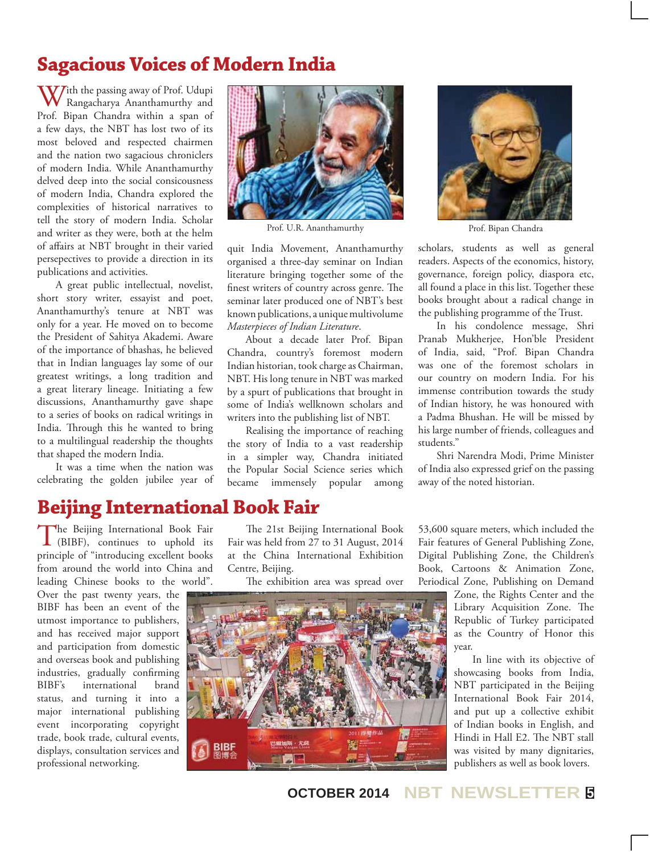# **Sagacious Voices of Modern India**

With the passing away of Prof. Udupi Rangacharya Ananthamurthy and Prof. Bipan Chandra within a span of a few days, the NBT has lost two of its most beloved and respected chairmen and the nation two sagacious chroniclers of modern India. While Ananthamurthy delved deep into the social consicousness of modern India, Chandra explored the complexities of historical narratives to tell the story of modern India. Scholar and writer as they were, both at the helm of affairs at NBT brought in their varied persepectives to provide a direction in its publications and activities.

A great public intellectual, novelist, short story writer, essayist and poet, Ananthamurthy's tenure at NBT was only for a year. He moved on to become the President of Sahitya Akademi. Aware of the importance of bhashas, he believed that in Indian languages lay some of our greatest writings, a long tradition and a great literary lineage. Initiating a few discussions, Ananthamurthy gave shape to a series of books on radical writings in India. Through this he wanted to bring to a multilingual readership the thoughts that shaped the modern India.

It was a time when the nation was celebrating the golden jubilee year of



Prof. U.R. Ananthamurthy Prof. Bipan Chandra

quit India Movement, Ananthamurthy organised a three-day seminar on Indian literature bringing together some of the finest writers of country across genre. The seminar later produced one of NBT's best known publications, a unique multivolume *Masterpieces of Indian Literature*.

About a decade later Prof. Bipan Chandra, country's foremost modern Indian historian, took charge as Chairman, NBT. His long tenure in NBT was marked by a spurt of publications that brought in some of India's wellknown scholars and writers into the publishing list of NBT.

Realising the importance of reaching the story of India to a vast readership in a simpler way, Chandra initiated the Popular Social Science series which became immensely popular among



scholars, students as well as general readers. Aspects of the economics, history, governance, foreign policy, diaspora etc, all found a place in this list. Together these books brought about a radical change in the publishing programme of the Trust.

In his condolence message, Shri Pranab Mukherjee, Hon'ble President of India, said, "Prof. Bipan Chandra was one of the foremost scholars in our country on modern India. For his immense contribution towards the study of Indian history, he was honoured with a Padma Bhushan. He will be missed by his large number of friends, colleagues and students."

Shri Narendra Modi, Prime Minister of India also expressed grief on the passing away of the noted historian.

#### **Beijing International Book Fair**

The Beijing International Book Fair (BIBF), continues to uphold its principle of "introducing excellent books from around the world into China and leading Chinese books to the world".

Over the past twenty years, the BIBF has been an event of the utmost importance to publishers, and has received major support and participation from domestic and overseas book and publishing industries, gradually confirming<br>BIBF's international brand international brand status, and turning it into a major international publishing event incorporating copyright trade, book trade, cultural events, displays, consultation services and professional networking.

The 21st Beijing International Book Fair was held from 27 to 31 August, 2014 at the China International Exhibition Centre, Beijing.

The exhibition area was spread over



53,600 square meters, which included the Fair features of General Publishing Zone, Digital Publishing Zone, the Children's Book, Cartoons & Animation Zone, Periodical Zone, Publishing on Demand

> Zone, the Rights Center and the Library Acquisition Zone. The Republic of Turkey participated as the Country of Honor this year.

In line with its objective of showcasing books from India, NBT participated in the Beijing International Book Fair 2014, and put up a collective exhibit of Indian books in English, and Hindi in Hall E2. The NBT stall was visited by many dignitaries, publishers as well as book lovers.

**OCTOBER 2014 NBT NEWSLETTER <sup>5</sup>**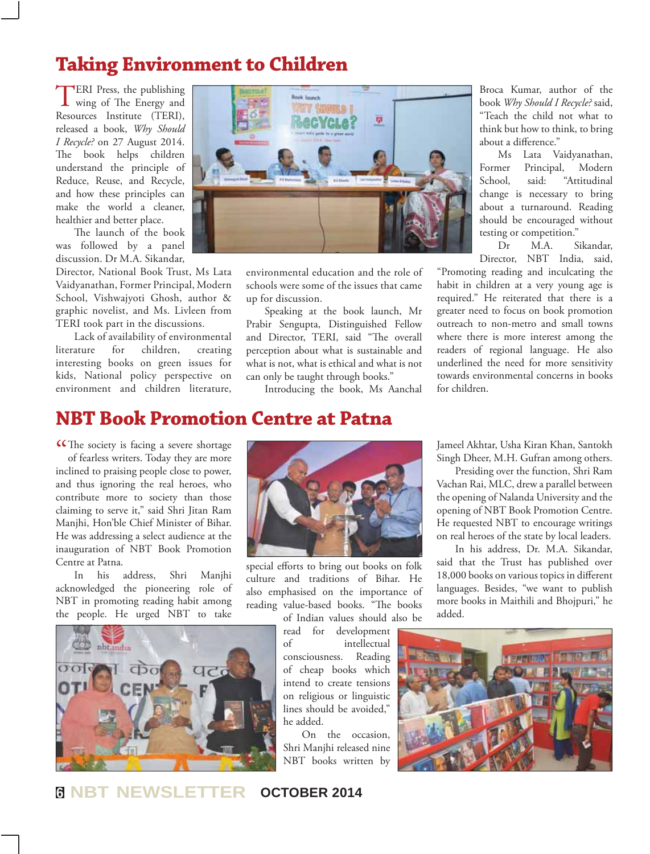# **Taking Environment to Children**

TERI Press, the publishing<br>wing of The Energy and Resources Institute (TERI), released a book, *Why Should I Recycle?* on 27 August 2014. The book helps children understand the principle of Reduce, Reuse, and Recycle, and how these principles can make the world a cleaner, healthier and better place.

The launch of the book was followed by a panel discussion. Dr M.A. Sikandar,

Director, National Book Trust, Ms Lata Vaidyanathan, Former Principal, Modern School, Vishwajyoti Ghosh, author & graphic novelist, and Ms. Livleen from TERI took part in the discussions.

Lack of availability of environmental literature for children, creating interesting books on green issues for kids, National policy perspective on environment and children literature,



environmental education and the role of schools were some of the issues that came up for discussion.

Speaking at the book launch, Mr Prabir Sengupta, Distinguished Fellow and Director, TERI, said "The overall perception about what is sustainable and what is not, what is ethical and what is not can only be taught through books."

Introducing the book, Ms Aanchal

Broca Kumar, author of the book *Why Should I Recycle?* said, "Teach the child not what to think but how to think, to bring about a difference."

Ms Lata Vaidyanathan, Former Principal, Modern School, said: "Attitudinal change is necessary to bring about a turnaround. Reading should be encouraged without testing or competition."

Dr M.A. Sikandar, Director, NBT India, said,

"Promoting reading and inculcating the habit in children at a very young age is required." He reiterated that there is a greater need to focus on book promotion outreach to non-metro and small towns where there is more interest among the readers of regional language. He also underlined the need for more sensitivity towards environmental concerns in books for children.

#### **NBT Book Promotion Centre at Patna**

CCThe society is facing a severe shortage<br>of fearless writers. Today they are more of fearless writers. Today they are more

inclined to praising people close to power, and thus ignoring the real heroes, who contribute more to society than those claiming to serve it," said Shri Jitan Ram Manjhi, Hon'ble Chief Minister of Bihar. He was addressing a select audience at the inauguration of NBT Book Promotion Centre at Patna.

In his address, Shri Manjhi acknowledged the pioneering role of NBT in promoting reading habit among the people. He urged NBT to take





special efforts to bring out books on folk culture and traditions of Bihar. He also emphasised on the importance of reading value-based books. "The books of Indian values should also be

read for development of intellectual consciousness. Reading of cheap books which intend to create tensions on religious or linguistic lines should be avoided," he added.

On the occasion, Shri Manjhi released nine NBT books written by

Jameel Akhtar, Usha Kiran Khan, Santokh Singh Dheer, M.H. Gufran among others.

Presiding over the function, Shri Ram Vachan Rai, MLC, drew a parallel between the opening of Nalanda University and the opening of NBT Book Promotion Centre. He requested NBT to encourage writings on real heroes of the state by local leaders.

In his address, Dr. M.A. Sikandar, said that the Trust has published over 18,000 books on various topics in different languages. Besides, "we want to publish more books in Maithili and Bhojpuri," he added.



#### **6 NBT NEWSLETTER OCTOBER 2014**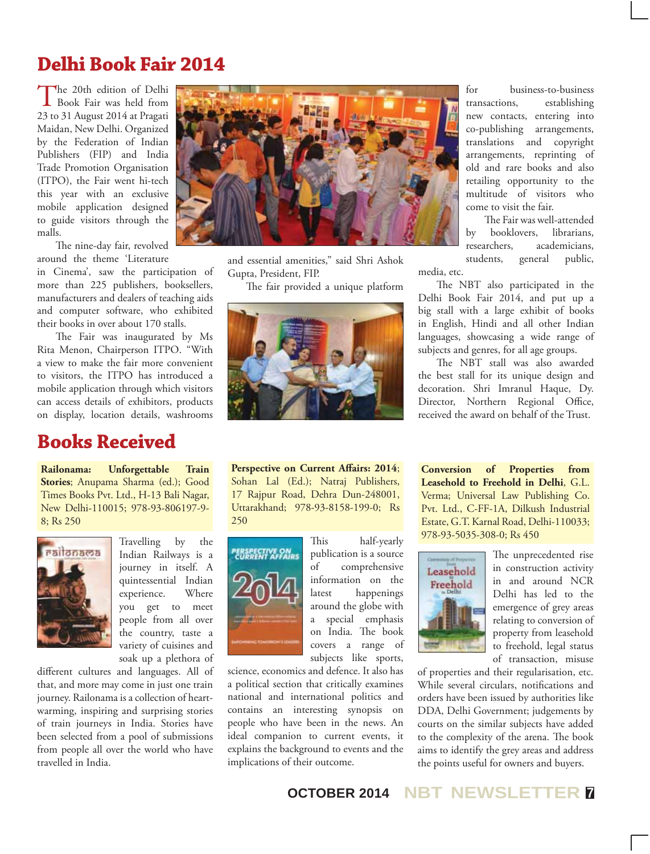# **Delhi Book Fair 2014**

The 20th edition of Delhi<br>Book Fair was held from 23 to 31 August 2014 at Pragati Maidan, New Delhi. Organized by the Federation of Indian Publishers (FIP) and India Trade Promotion Organisation (ITPO), the Fair went hi-tech this year with an exclusive mobile application designed to guide visitors through the malls.

The nine-day fair, revolved around the theme 'Literature

in Cinema', saw the participation of more than 225 publishers, booksellers, manufacturers and dealers of teaching aids and computer software, who exhibited their books in over about 170 stalls.

The Fair was inaugurated by Ms Rita Menon, Chairperson ITPO. "With a view to make the fair more convenient to visitors, the ITPO has introduced a mobile application through which visitors can access details of exhibitors, products on display, location details, washrooms

### **Books Received**

**Railonama: Unforgettable Train Stories**; Anupama Sharma (ed.); Good Times Books Pvt. Ltd., H-13 Bali Nagar, New Delhi-110015; 978-93-806197-9- 8; Rs 250



Travelling by the Indian Railways is a journey in itself. A quintessential Indian experience. Where you get to meet people from all over the country, taste a variety of cuisines and soak up a plethora of

different cultures and languages. All of that, and more may come in just one train journey. Railonama is a collection of heartwarming, inspiring and surprising stories of train journeys in India. Stories have been selected from a pool of submissions from people all over the world who have travelled in India.



and essential amenities," said Shri Ashok Gupta, President, FIP.

The fair provided a unique platform



**Perspective on Current Affairs: 2014**; Sohan Lal (Ed.); Natraj Publishers, 17 Rajpur Road, Dehra Dun-248001, Uttarakhand; 978-93-8158-199-0; Rs 250



This half-yearly publication is a source of comprehensive information on the latest happenings around the globe with a special emphasis on India. The book covers a range of subjects like sports,

science, economics and defence. It also has a political section that critically examines national and international politics and contains an interesting synopsis on people who have been in the news. An ideal companion to current events, it explains the background to events and the implications of their outcome.

for business-to-business transactions, establishing new contacts, entering into co-publishing arrangements, translations and copyright arrangements, reprinting of old and rare books and also retailing opportunity to the multitude of visitors who come to visit the fair.

The Fair was well-attended by booklovers, librarians, researchers, academicians, students, general public, media, etc.

The NBT also participated in the Delhi Book Fair 2014, and put up a big stall with a large exhibit of books in English, Hindi and all other Indian languages, showcasing a wide range of subjects and genres, for all age groups.

The NBT stall was also awarded the best stall for its unique design and decoration. Shri Imranul Haque, Dy. Director, Northern Regional Office, received the award on behalf of the Trust.

**Conversion of Properties from Leasehold to Freehold in Delhi**, G.L. Verma; Universal Law Publishing Co. Pvt. Ltd., C-FF-1A, Dilkush Industrial Estate, G.T. Karnal Road, Delhi-110033; 978-93-5035-308-0; Rs 450



The unprecedented rise in construction activity in and around NCR Delhi has led to the emergence of grey areas relating to conversion of property from leasehold to freehold, legal status of transaction, misuse

of properties and their regularisation, etc. While several circulars, notifications and orders have been issued by authorities like DDA, Delhi Government; judgements by courts on the similar subjects have added to the complexity of the arena. The book aims to identify the grey areas and address the points useful for owners and buyers.